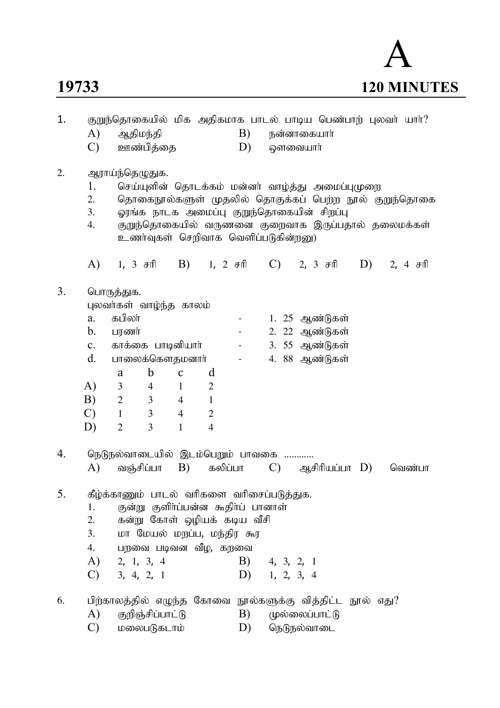# 



| 1. | குறுந்தொகையில் மிக அதிகமாக பாடல் பாடிய பெண்பாற் புலவா் யாா்? |                                                           |                  |                |                                     |                  |                                                 |                |                |    |                                                       |
|----|--------------------------------------------------------------|-----------------------------------------------------------|------------------|----------------|-------------------------------------|------------------|-------------------------------------------------|----------------|----------------|----|-------------------------------------------------------|
|    | A)                                                           | ஆதிமந்தி                                                  |                  |                |                                     | B)               | நன்னாகையார்                                     |                |                |    |                                                       |
|    | $\mathcal{C}$                                                |                                                           | ஊண்பித்தை        |                |                                     | D)               |                                                 | ஔவையாா்        |                |    |                                                       |
| 2. |                                                              | ஆராய்ந்தெழுதுக.                                           |                  |                |                                     |                  |                                                 |                |                |    |                                                       |
|    | 1.                                                           |                                                           |                  |                |                                     |                  | செய்யுளின் தொடக்கம் மன்னா் வாழ்த்து அமைப்புமுறை |                |                |    |                                                       |
|    | 2.                                                           |                                                           |                  |                |                                     |                  |                                                 |                |                |    | தொகைநூல்களுள் முதலில் தொகுக்கப் பெற்ற நூல் குறுந்தொகை |
|    | 3.                                                           |                                                           |                  |                |                                     |                  | ஓரங்க நாடக அமைப்பு குறுந்தொகையின் சிறப்பு       |                |                |    |                                                       |
|    | 4.                                                           |                                                           |                  |                |                                     |                  | உணர்வுகள் செறிவாக வெளிப்படுகின்றனு)             |                |                |    | குறுந்தொகையில் வருணனை குறைவாக இருப்பதால் தலைமக்கள்    |
|    | A)                                                           |                                                           | 1, 3 சரி         |                | B) 1, 2 சரி                         |                  |                                                 |                | $(C)$ 2, 3 சரி | D) | 2, 4 $\sigma$ ff                                      |
| 3. |                                                              | பொருத்துக.                                                |                  |                |                                     |                  |                                                 |                |                |    |                                                       |
|    |                                                              | புலவர்கள் வாழ்ந்த காலம்                                   |                  |                |                                     |                  |                                                 |                |                |    |                                                       |
|    | a.                                                           | கபிலா்                                                    |                  |                |                                     | $\sim$ 100 $\mu$ |                                                 |                | 1. 25 ஆண்டுகள் |    |                                                       |
|    | $\mathbf{b}$ .                                               | பரணர்                                                     |                  |                |                                     | $\blacksquare$   |                                                 |                | 2. 22 ஆண்டுகள் |    |                                                       |
|    | $c_{\cdot}$                                                  | காக்கை பாடினியாா்                                         |                  |                |                                     | $\blacksquare$   |                                                 |                | 3. 55 ஆண்டுகள் |    |                                                       |
|    | $d_{\cdot}$                                                  | பாலைக்கௌதமனாா்                                            |                  |                |                                     | $\blacksquare$   |                                                 |                | 4. 88 ஆண்டுகள் |    |                                                       |
|    |                                                              | a                                                         | $\mathbf b$      | $\mathbf{C}$   | d                                   |                  |                                                 |                |                |    |                                                       |
|    | A)                                                           | $\mathfrak{Z}$                                            | $\overline{4}$   | $\mathbf{1}$   | $\overline{2}$                      |                  |                                                 |                |                |    |                                                       |
|    | B)                                                           | $\overline{2}$                                            | 3                | $\overline{4}$ | $\mathbf{1}$                        |                  |                                                 |                |                |    |                                                       |
|    | $\mathcal{C}$                                                | $\mathbf{1}$                                              | 3                | $\overline{4}$ | $\mathbf{2}$                        |                  |                                                 |                |                |    |                                                       |
|    | D)                                                           | $\overline{2}$                                            | 3                | $\mathbf{1}$   | $\overline{4}$                      |                  |                                                 |                |                |    |                                                       |
| 4. |                                                              | நெடுநல்வாடையில் இடம்பெறும் பாவகை                          |                  |                |                                     |                  |                                                 |                |                |    |                                                       |
|    | A)                                                           |                                                           | வஞ்சிப்பா        | B)             |                                     | கலிப்பா          | $\mathcal{C}$ )                                 |                | ஆசிரியப்பா D)  |    | வெண்பா                                                |
| 5. |                                                              | கீழ்க்காணும் பாடல் வரிகளை வரிசைப்படுத்துக.                |                  |                |                                     |                  |                                                 |                |                |    |                                                       |
|    | 1.                                                           |                                                           |                  |                | குன்று குளிா்ப்பன்ன கூதிா்ப் பானாள் |                  |                                                 |                |                |    |                                                       |
|    | 2.                                                           |                                                           |                  |                | கன்று கோள் ஒழியக் கடிய வீசி         |                  |                                                 |                |                |    |                                                       |
|    | 3.                                                           |                                                           |                  |                | மா மேயல் மறப்ப, மந்திர கூர          |                  |                                                 |                |                |    |                                                       |
|    | 4.                                                           |                                                           |                  |                | பறவை படிவன வீழ, கறவை                |                  |                                                 |                |                |    |                                                       |
|    | A)                                                           | 2, 1, 3, 4                                                |                  |                |                                     | B)               | 4, 3, 2, 1                                      |                |                |    |                                                       |
|    | $\mathcal{C}$                                                | 3, 4, 2, 1                                                |                  |                |                                     |                  | $D)$ 1, 2, 3, 4                                 |                |                |    |                                                       |
| 6. |                                                              | பிற்காலத்தில் எழுந்த கோவை நூல்களுக்கு வித்திட்ட நூல் எது? |                  |                |                                     |                  |                                                 |                |                |    |                                                       |
|    | A)                                                           |                                                           | குறிஞ்சிப்பாட்டு |                |                                     | B)               |                                                 | முல்லைப்பாட்டு |                |    |                                                       |
|    | C)                                                           |                                                           | மலைபடுகடாம்      |                |                                     | D)               |                                                 | நெடுநல்வாடை    |                |    |                                                       |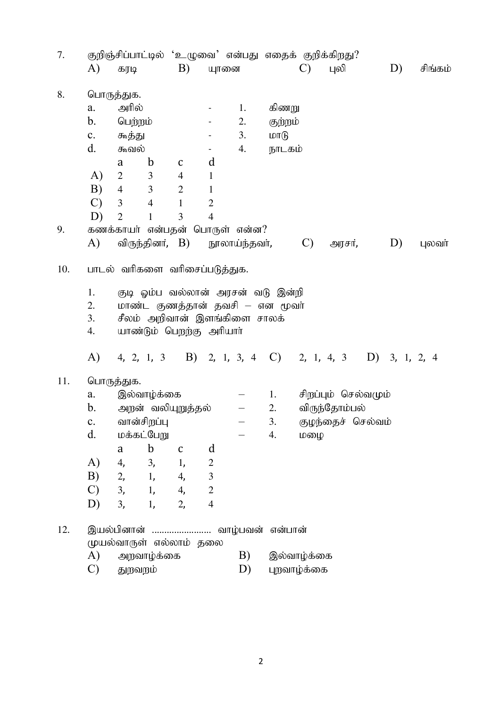| 7.  | குறிஞ்சிப்பாட்டில் 'உழுவை' என்பது எதைக் குறிக்கிறது? |                |                |                         |                                   |    |              |                     |                   |    |            |         |
|-----|------------------------------------------------------|----------------|----------------|-------------------------|-----------------------------------|----|--------------|---------------------|-------------------|----|------------|---------|
|     | A)                                                   | கரடி           |                | B)                      | யுானை                             |    |              | $\mathcal{C}$       | புலி              |    | D)         | சிங்கம் |
| 8.  |                                                      | பொருத்துக.     |                |                         |                                   |    |              |                     |                   |    |            |         |
|     | a.                                                   | அரில்          |                |                         |                                   | 1. | கிணறு        |                     |                   |    |            |         |
|     | $b_{\cdot}$                                          | பெற்றம்        |                |                         |                                   | 2. | குற்றம்      |                     |                   |    |            |         |
|     | $\mathbf{c}$ .                                       | கூத்து         |                |                         |                                   | 3. | $LDT(\beta)$ |                     |                   |    |            |         |
|     | d.                                                   | கூவல்          |                |                         | $\blacksquare$                    | 4. | நாடகம்       |                     |                   |    |            |         |
|     |                                                      | a              | $\mathbf b$    | $\mathsf C$             | d                                 |    |              |                     |                   |    |            |         |
|     | A)                                                   | $\overline{2}$ | 3              | $\overline{4}$          | $\mathbf{1}$                      |    |              |                     |                   |    |            |         |
|     | B)                                                   | $\overline{4}$ | 3              | $\mathbf{2}$            | $\mathbf{1}$                      |    |              |                     |                   |    |            |         |
|     | $\mathcal{C}$                                        | 3              | $\overline{4}$ | $\mathbf{1}$            | $\overline{2}$                    |    |              |                     |                   |    |            |         |
|     | D)                                                   | $\overline{2}$ | 1              | 3                       | $\overline{4}$                    |    |              |                     |                   |    |            |         |
| 9.  | கணக்காயர் என்பதன் பொருள் என்ன?                       |                |                |                         |                                   |    |              |                     |                   |    |            |         |
|     | A)                                                   |                |                |                         | விருந்தினர், B) நூலாய்ந்தவர்,     |    |              | $\mathbf{C}$        | அரசர்,            |    | D)         | புலவா்  |
| 10. |                                                      |                |                |                         | பாடல் வரிகளை வரிசைப்படுத்துக.     |    |              |                     |                   |    |            |         |
|     | 1.                                                   |                |                |                         | குடி ஓம்ப வல்லான் அரசன் வடு இன்றி |    |              |                     |                   |    |            |         |
|     | 2.                                                   |                |                |                         | மாண்ட குணத்தான் தவசி – என மூவர்   |    |              |                     |                   |    |            |         |
|     | 3.                                                   |                |                |                         | சீலம் அறிவான் இளங்கிளை சாலக்      |    |              |                     |                   |    |            |         |
|     | 4.                                                   |                |                |                         | யாண்டும் பெறந்கு அரியாா்          |    |              |                     |                   |    |            |         |
|     | A)                                                   |                | 4, 2, 1, 3     |                         | B) 2, 1, 3, 4 C)                  |    |              |                     | 2, 1, 4, 3        | D) | 3, 1, 2, 4 |         |
| 11. |                                                      | பொருத்துக.     |                |                         |                                   |    |              |                     |                   |    |            |         |
|     | a.                                                   |                | இல்வாழ்க்கை    |                         |                                   |    | 1.           | சிறப்பும் செல்வமும் |                   |    |            |         |
|     | b.                                                   |                |                | அறன் வலியுறுத்தல்       |                                   |    | 2.           |                     | விருந்தோம்பல்     |    |            |         |
|     | $\mathbf{c}$ .                                       |                | வான்சிறப்பு    |                         |                                   |    | 3.           |                     | குழந்தைச் செல்வம் |    |            |         |
|     | d.                                                   |                | மக்கட்பேறு     |                         |                                   |    | 4.           | மழை                 |                   |    |            |         |
|     |                                                      | a              | $\mathbf b$    | $\mathbf C$             | d                                 |    |              |                     |                   |    |            |         |
|     | A)                                                   | 4,             | 3,             | 1,                      | $\mathbf{2}$                      |    |              |                     |                   |    |            |         |
|     | B)                                                   |                | 2, 1,          | 4,                      | $\mathfrak{Z}$                    |    |              |                     |                   |    |            |         |
|     | $\mathcal{C}$                                        |                | 3, 1,          | 4,                      | $\sqrt{2}$                        |    |              |                     |                   |    |            |         |
|     | D)                                                   | 3,             | 1,             | 2,                      | $\overline{4}$                    |    |              |                     |                   |    |            |         |
| 12. |                                                      |                |                |                         | இயல்பினான்  வாழ்பவன் என்பான்      |    |              |                     |                   |    |            |         |
|     |                                                      |                |                | முயல்வாருள் எல்லாம் தலை |                                   | B) |              |                     |                   |    |            |         |
|     | A)                                                   | அறவாழ்க்கை     |                |                         |                                   |    |              | இல்வாழ்க்கை         |                   |    |            |         |
|     | $\mathcal{C}$                                        | துறவறம்        |                |                         |                                   | D) |              | புறவாழ்க்கை         |                   |    |            |         |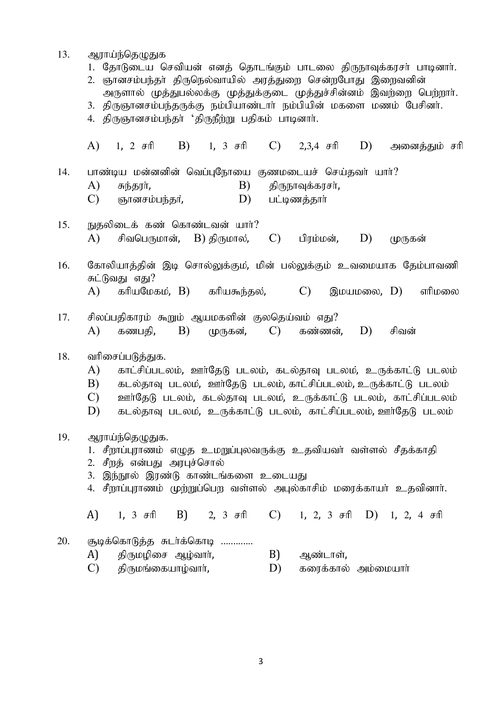- 13. ஆராய்ந்தெழுதுக
	- 1. தோடுடைய செவியன் எனத் தொடங்கும் பாடலை திருநாவுக்கரசர் பாடினார்.
	- 2. ஞானசம்பந்தர் திருநெல்வாயில் அரத்துறை சென்றபோது இறைவனின்
	- அருளால் முத்துபல்லக்கு முத்துக்குடை முத்துச்சின்னம் இவற்றை பெற்றார்.
	- 3. திருஞானசம்பந்தருக்கு நம்பியாண்டார் நம்பியின் மகளை மணம் பேசினர்.
	- 4. திருஞானசம்பந்தா் 'திருநீற்று பதிகம் பாடினாா்.

A) 1, 2  $\pi$ ft B) 1, 3  $\pi$ ft C) 2,3,4  $\pi$ ft D) அனைக்கும் சரி  $14.$  பாண்டிய மன்னனின் வெப்புநோயை குணமடையச் செய்தவர் யார்?  $A$ ) சுந்தரர்,  $B$ ) திருநாவுக்கரசர்,  $\overline{C}$ ) கானசம்பந்கர்,  $\overline{D}$ ) பட்டிணக்கார் 15. நுதலிடைக் கண் கொண்டவன் யார்? A) சிவபெருமான், B) திருமால், C) பிரம்மன், D) முருகன் 16. கோலியாத்தின் இடி சொல்லுக்கும், மின் பல்லுக்கும் உவமையாக தேம்பாவணி சுட்டுவகு எகு?  $(A)$  கரியமேகம்,  $B$ ) கரியகூந்தல்,  $(C)$  இமயமலை,  $(D)$  எரிமலை  $17.$  சிலப்பதிகாரம் கூறும் ஆயமகளின் குலதெய்வம் எது? A) கணபதி, B) முருகன், C) கண்ணன், D) சிவன் 18. வரிசைப்படுத்துக. A) காட்சிப்படலம், ஊர்தேடு படலம், கடல்தாவு படலம், உருக்காட்டு படலம்  $B$ ) – கடல்தாவ படலம், ஊர்தேடு படலம் காட்சிப்படலம் உருக்காட்டு படலம்  $C$ ) உளர்தேடு படலம், கடல்தாவு படலம், உருக்காட்டு படலம், காட்சிப்படலம்  $D$ ) – கடல்தாவு படலம், உருக்காட்டு படலம், காட்சிப்படலம், ஊர்தேடு படலம் 19. ஆராய்ந்தெமுதுக. 1. சீறாப்புராணம் எழுத உமறுப்புலவருக்கு உதவியவா் வள்ளல் சீதக்காதி 2. சீறத் என்பது அரபுச்சொல் 3. இந்நூல் இரண்டு காண்டங்களை உடையகு 4. சீறாப்புராணம் முற்றுப்பெற வள்ளல் அபுல்காசிம் மரைக்காயா் உதவினாா். A) 1, 3 சரி B) 2, 3 சரி C) 1, 2, 3 சரி D) 1, 2, 4 சரி 20. சூடிக்கொடுத்த சுடர்க்கொடி .............  $A$ ) கிருமழிசை ஆழ்வார்,  $B$ ) ஆண்டாள்,  $(C)$  திருமங்கையாம்வார்,  $(D)$  கரைக்கால் அம்மையார்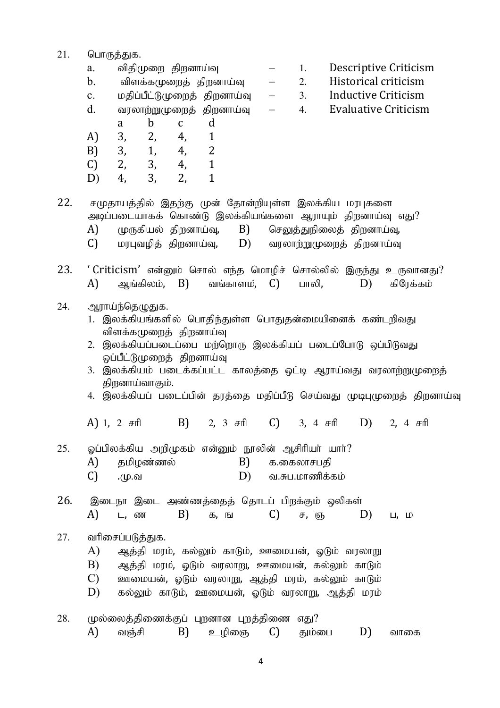- 21. பொருத்துக. a. விதிமுறை திறனாய்வு  $-$  1. Descriptive Criticism  $b.$  விளக்கமுறைத் திறனாய்வு — 2. Historical criticism c. மதிப்பீட்டுமுறைத் திறனாய்வு  $-$  3. Inductive Criticism  $d.$  all automing integration  $\alpha$  is equal to the criticism of  $\alpha$ . a b c d A) 3, 2, 4, 1 B) 3, 1, 4, 2 C) 2, 3, 4, 1 D) 4, 3, 2, 1 22. சமுதாயத்தில் இதற்கு முன் தோன்றியுள்ள இலக்கிய மரபுகளை அடிப்படையாகக் கொண்டு இலக்கியங்களை ஆராயும் திறனாய்வு எது? A) முருகியல் திறனாய்வு,  $B$ ) செலுத்துநிலைத் திறனாய்வு,  $C$ ) மரபுவழித் திறனாய்வு,  $D$ ) வரலாற்றுமுறைத் திறனாய்வு 23. 'Criticism' என்னும் சொல் எந்த மொழிச் சொல்லில் இருந்து உருவானது?  $A$ ) அங்கிலம்,  $B$ ) வங்காளம்,  $C$ ) பாலி,  $D$ ) கிரேக்கம் 24. ஆராய்ந்தெழுதுக. 1. இலக்கியங்களில் பொதிந்துள்ள பொதுதன்மையினைக் கண்டரிவது விளக்கமுளைக் கிறனாய்வு 2. இலக்கியப்படைப்பை மர்ளொரு இலக்கியப் படைப்போடு ஒப்பிடுவது ஒப்பீட்டுமுறைத் திறனாய்வு 3. இலக்கியம் படைக்கப்பட்ட காலத்தை ஒட்டி ஆராய்வது வரலாற்றுமுறைத் திறனாய்வாகும். 4. இலக்கியப் படைப்பின் தரத்தை மதிப்பீடு செய்வது முடிபுமுறைத் திறனாய்வு A) 1, 2  $\pi$ fi B) 2, 3  $\pi$ fi C) 3, 4  $\pi$ fi D) 2, 4  $\pi$ fi  $25.$  ஓப்பிலக்கிய அறிமுகம் என்னும் நூலின் ஆசிரியா் யாா் $?$  $A$ ) தமிழண்ணல்  $B$ ) க.கைலாசபதி  $(C)$  . (மு.வ  $(D)$  வ.சுப.மாணிக்கம் 26. இடைநா இடை அண்ணத்தைத் தொடப் பிறக்கும் ஒலிகள் A) ட,னை B) க,ங C) ச,ஞ, D) ப,ம 27. வரிசைப்படுத்துக. A) Mj ;jp kuk ;, fy ;Yk ; fhLk ;, Cikad;, XLk ; tuyhW B) Mj ;jp kuk,; XLk ; tuyhW, Cikad;, fy;Yk ; fhLk ;  $C$ ) உளமையன், ஒடும் வரலாறு, ஆத்தி மரம், கல்லும் காடும்  $D$ ) – கல்லும் காடும், ஊமையன், ஒடும் வரலாறு, ஆத்தி மரம்
- $28.$  (மல்லைத்திணைக்குப் புறனான புறத்திணை எது? A) வஞ்சி B) உழிஞை C) தும்பை D) வாகை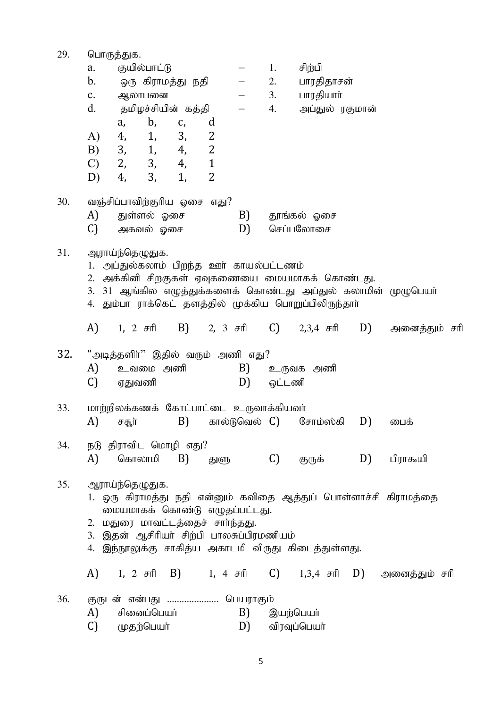| 29. | பொருத்துக.                                                                             |                                  |                    |    |                |                                          |                                |                                                     |    |                                                       |  |  |  |
|-----|----------------------------------------------------------------------------------------|----------------------------------|--------------------|----|----------------|------------------------------------------|--------------------------------|-----------------------------------------------------|----|-------------------------------------------------------|--|--|--|
|     | a.                                                                                     |                                  | குயில்பாட்டு       |    |                |                                          | 1.                             | சிற்பி                                              |    |                                                       |  |  |  |
|     | $\mathbf b$ .                                                                          |                                  | ஒரு கிராமத்து நதி  |    |                | $\frac{1}{2}$ and $\frac{1}{2}$          | 2.                             | பாரதிதாசன்                                          |    |                                                       |  |  |  |
|     | $\mathbf{c}$ .                                                                         | ஆலாபனை                           |                    |    |                |                                          | 3.                             | பாரதியாா்                                           |    |                                                       |  |  |  |
|     | d.                                                                                     |                                  | தமிழச்சியின் கத்தி |    |                |                                          | 4.                             | அப்துல் ரகுமான்                                     |    |                                                       |  |  |  |
|     |                                                                                        | a,                               | $\mathbf{b}$ ,     | C, | d              |                                          |                                |                                                     |    |                                                       |  |  |  |
|     | A)                                                                                     | 4,                               | 1,                 | 3, | 2              |                                          |                                |                                                     |    |                                                       |  |  |  |
|     | B)                                                                                     | 3, 1,                            |                    | 4, | $\overline{2}$ |                                          |                                |                                                     |    |                                                       |  |  |  |
|     | $\mathcal{C}$ )                                                                        |                                  | 2, 3, 4,           |    | $\mathbf{1}$   |                                          |                                |                                                     |    |                                                       |  |  |  |
|     | D)                                                                                     | 4,                               | 3,                 | 1, | 2              |                                          |                                |                                                     |    |                                                       |  |  |  |
|     |                                                                                        |                                  |                    |    |                |                                          |                                |                                                     |    |                                                       |  |  |  |
| 30. |                                                                                        | வஞ்சிப்பாவிற்குரிய ஓசை எது?      |                    |    |                |                                          |                                |                                                     |    |                                                       |  |  |  |
|     | A)                                                                                     | துள்ளல் ஓசை<br>அகவல் ஓசை         |                    |    |                |                                          | B)<br>தூங்கல் ஓசை<br>செப்பலோசை |                                                     |    |                                                       |  |  |  |
|     | C)                                                                                     |                                  |                    |    |                | D)                                       |                                |                                                     |    |                                                       |  |  |  |
| 31. |                                                                                        | ஆராய்ந்தெழுதுக.                  |                    |    |                |                                          |                                |                                                     |    |                                                       |  |  |  |
|     |                                                                                        |                                  |                    |    |                |                                          |                                |                                                     |    |                                                       |  |  |  |
|     | அப்துல்கலாம் பிறந்த ஊர் காயல்பட்டணம்<br>2. அக்கினி சிறகுகள் ஏவுகணையை மையமாகக் கொண்டது. |                                  |                    |    |                |                                          |                                |                                                     |    |                                                       |  |  |  |
|     | 3. 31 ஆங்கில எழுத்துக்களைக் கொண்டது அப்துல் கலாமின் முழுபெயா்                          |                                  |                    |    |                |                                          |                                |                                                     |    |                                                       |  |  |  |
|     | 4. தும்பா ராக்கெட் தளத்தில் முக்கிய பொறுப்பிலிருந்தாா்                                 |                                  |                    |    |                |                                          |                                |                                                     |    |                                                       |  |  |  |
|     |                                                                                        |                                  |                    |    |                |                                          |                                | A) 1, 2 சரி B) 2, 3 சரி C) 2,3,4 சரி D)             |    | அனைத்தும் சரி                                         |  |  |  |
| 32. |                                                                                        |                                  |                    |    |                | "அடித்தளிா்" இதில் வரும் அணி எது?        |                                |                                                     |    |                                                       |  |  |  |
|     |                                                                                        |                                  | உவமை அணி           |    |                |                                          |                                | உருவக அணி                                           |    |                                                       |  |  |  |
|     | A)                                                                                     |                                  |                    |    |                | B)                                       | ஒட்டணி                         |                                                     |    |                                                       |  |  |  |
|     | C)                                                                                     | ஏதுவணி                           |                    |    |                | D)                                       |                                |                                                     |    |                                                       |  |  |  |
| 33. |                                                                                        |                                  |                    |    |                | மாற்றிலக்கணக் கோட்பாட்டை உருவாக்கியவர்   |                                |                                                     |    |                                                       |  |  |  |
|     | A)                                                                                     | சசூர்                            |                    | B) |                |                                          |                                | கால்டுவெல் C) சோம்ஸ்கி                              | D) | பைக்                                                  |  |  |  |
|     |                                                                                        |                                  |                    |    |                |                                          |                                |                                                     |    |                                                       |  |  |  |
| 34. |                                                                                        | நடு திராவிட மொழி எது?            |                    |    |                |                                          |                                |                                                     |    |                                                       |  |  |  |
|     | A)                                                                                     |                                  |                    |    |                | கொலாமி B) துளு                           | C)                             | குருக் D)                                           |    | பிராகூயி                                              |  |  |  |
|     |                                                                                        |                                  |                    |    |                |                                          |                                |                                                     |    |                                                       |  |  |  |
| 35. | ஆராய்ந்தெழுதுக.<br>1. ஒரு கிராமத்து நதி என்னும் கவிதை ஆத்துப் பொள்ளாச்சி கிராமத்தை     |                                  |                    |    |                |                                          |                                |                                                     |    |                                                       |  |  |  |
|     |                                                                                        |                                  |                    |    |                | மையமாகக் கொண்டு எழுதப்பட்டது.            |                                |                                                     |    |                                                       |  |  |  |
|     |                                                                                        | 2. மதுரை மாவட்டத்தைச் சார்ந்தது. |                    |    |                |                                          |                                |                                                     |    |                                                       |  |  |  |
|     |                                                                                        |                                  |                    |    |                | 3. இதன் ஆசிரியர் சிற்பி பாலசுப்பிரமணியம் |                                |                                                     |    |                                                       |  |  |  |
|     |                                                                                        |                                  |                    |    |                |                                          |                                | 4. இந்நூலுக்கு சாகித்ய அகாடமி விருது கிடைத்துள்ளது. |    |                                                       |  |  |  |
|     |                                                                                        |                                  |                    |    |                |                                          |                                |                                                     |    |                                                       |  |  |  |
|     |                                                                                        |                                  |                    |    |                |                                          |                                |                                                     |    | A) 1, 2 சரி B) 1, 4 சரி C) 1,3,4 சரி D) அனைத்தும் சரி |  |  |  |
|     |                                                                                        |                                  |                    |    |                |                                          |                                |                                                     |    |                                                       |  |  |  |
| 36. |                                                                                        |                                  |                    |    |                | குருடன் என்பது  பெயராகும்                |                                |                                                     |    |                                                       |  |  |  |
|     | A)                                                                                     |                                  | சினைப்பெயர்        |    |                | B)                                       | இயற்பெயா்                      |                                                     |    |                                                       |  |  |  |
|     | C)                                                                                     | முதற்பெயா்                       |                    |    |                | D)                                       |                                | விரவுப்பெயா்                                        |    |                                                       |  |  |  |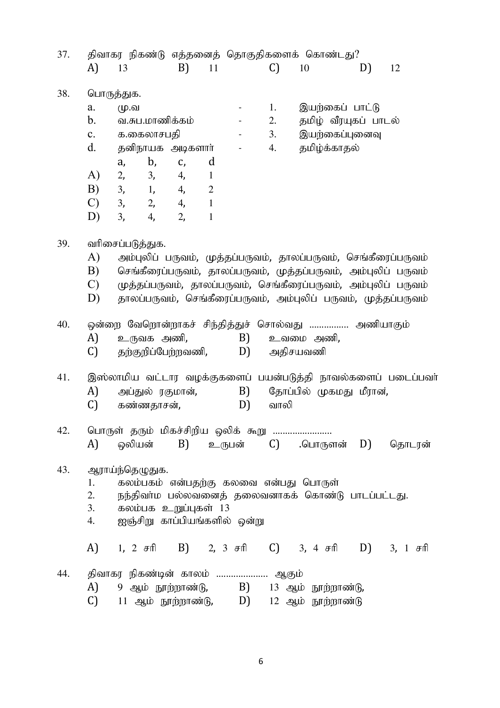| 37. | திவாகர நிகண்டு எத்தனைத் தொகுதிகளைக் கொண்டது? |                                                                |    |                |                                                           |               |                                                                |    |                                                              |  |  |
|-----|----------------------------------------------|----------------------------------------------------------------|----|----------------|-----------------------------------------------------------|---------------|----------------------------------------------------------------|----|--------------------------------------------------------------|--|--|
|     | A)                                           | 13                                                             | B) | 11             |                                                           | $\mathcal{C}$ | 10                                                             | D) | 12                                                           |  |  |
|     |                                              |                                                                |    |                |                                                           |               |                                                                |    |                                                              |  |  |
| 38. |                                              | பொருத்துக.                                                     |    |                |                                                           |               |                                                                |    |                                                              |  |  |
|     | a.                                           | மு.வ                                                           |    |                | $\sim 100$                                                | 1.            | இயற்கைப் பாட்டு                                                |    |                                                              |  |  |
|     | $\mathbf{b}$ .                               | வ.சுப.மாணிக்கம்                                                |    |                | $\omega_{\rm{max}}$ and $\omega_{\rm{max}}$               | 2.            | தமிழ் வீரயுகப் பாடல்                                           |    |                                                              |  |  |
|     | c.                                           | க.கைலாசபதி                                                     |    |                | $\bullet$ - $\bullet$ - $\bullet$ - $\bullet$ - $\bullet$ | 3.            | இயற்கைப்புனைவு                                                 |    |                                                              |  |  |
|     | $d_{\cdot}$                                  | தனிநாயக அடிகளாா்                                               |    |                | $\sigma_{\rm{max}}$ and $\sigma_{\rm{max}}$               | 4.            | தமிழ்க்காதல்                                                   |    |                                                              |  |  |
|     |                                              | b,<br>a,                                                       | C, | d              |                                                           |               |                                                                |    |                                                              |  |  |
|     | A)                                           | 2, 3, 4,                                                       |    | $\mathbf{1}$   |                                                           |               |                                                                |    |                                                              |  |  |
|     | B)                                           | 3, 1, 4,                                                       |    | $\mathfrak{2}$ |                                                           |               |                                                                |    |                                                              |  |  |
|     | $\mathcal{C}$                                | 3, 2, 4,                                                       |    | $\mathbf{1}$   |                                                           |               |                                                                |    |                                                              |  |  |
|     | D)                                           | 4, 2,<br>3,                                                    |    | $\mathbf{1}$   |                                                           |               |                                                                |    |                                                              |  |  |
| 39. |                                              | வரிசைப்படுத்துக.                                               |    |                |                                                           |               |                                                                |    |                                                              |  |  |
|     | A)                                           | அம்புலிப் பருவம், முத்தப்பருவம், தாலப்பருவம், செங்கீரைப்பருவம் |    |                |                                                           |               |                                                                |    |                                                              |  |  |
|     | B)                                           |                                                                |    |                |                                                           |               | செங்கீரைப்பருவம், தாலப்பருவம், முத்தப்பருவம், அம்புலிப் பருவம் |    |                                                              |  |  |
|     | $\mathcal{C}$                                |                                                                |    |                |                                                           |               | முத்தப்பருவம், தாலப்பருவம், செங்கீரைப்பருவம், அம்புலிப் பருவம் |    |                                                              |  |  |
|     | D)                                           |                                                                |    |                |                                                           |               | தாலப்பருவம், செங்கீரைப்பருவம், அம்புலிப் பருவம், முத்தப்பருவம் |    |                                                              |  |  |
|     |                                              |                                                                |    |                |                                                           |               |                                                                |    |                                                              |  |  |
| 40. |                                              | ஒன்றை வேறொன்றாகச் சிந்தித்துச் சொல்வது  அணியாகும்              |    |                |                                                           |               |                                                                |    |                                                              |  |  |
|     | A)                                           | உருவக அணி,                                                     |    |                | B)                                                        |               | உவமை அணி,                                                      |    |                                                              |  |  |
|     | C)                                           | தற்குறிப்பேற்றவணி, D)                                          |    |                |                                                           |               | அதிசயவணி                                                       |    |                                                              |  |  |
|     |                                              |                                                                |    |                |                                                           |               |                                                                |    |                                                              |  |  |
| 41. |                                              |                                                                |    |                |                                                           |               |                                                                |    | இஸ்லாமிய வட்டார வழக்குகளைப் பயன்படுத்தி நாவல்களைப் படைப்பவர் |  |  |
|     | A)                                           | அப்துல் ரகுமான்,                                               |    |                | B)                                                        |               | தோப்பில் முகமது மீரான்,                                        |    |                                                              |  |  |
|     | C)                                           | கண்ணதாசன்,                                                     |    |                | D)                                                        | வாலி          |                                                                |    |                                                              |  |  |
| 42. |                                              | பொருள் தரும் மிகச்சிறிய ஒலிக் கூறு                             |    |                |                                                           |               |                                                                |    |                                                              |  |  |
|     | A)                                           |                                                                |    |                |                                                           |               | ஒலியன் B) உருபன் C) .பொருளன் D) தொடரன்                         |    |                                                              |  |  |
| 43. |                                              | ஆராய்ந்தெழுதுக.                                                |    |                |                                                           |               |                                                                |    |                                                              |  |  |
|     | 1.                                           | கலம்பகம் என்பதற்கு கலவை என்பது பொருள்                          |    |                |                                                           |               |                                                                |    |                                                              |  |  |
|     | 2.                                           |                                                                |    |                |                                                           |               | நந்திவா்ம பல்லவனைத் தலைவனாகக் கொண்டு பாடப்பட்டது.              |    |                                                              |  |  |
|     | 3.                                           | கலம்பக உறுப்புகள் 13                                           |    |                |                                                           |               |                                                                |    |                                                              |  |  |
|     | 4.                                           | ஐஞ்சிறு காப்பியங்களில் ஒன்று                                   |    |                |                                                           |               |                                                                |    |                                                              |  |  |
|     |                                              |                                                                |    |                |                                                           |               |                                                                |    |                                                              |  |  |
|     |                                              | A) 1, 2 சரி B) 2, 3 சரி C) 3, 4 சரி D) 3, 1 சரி                |    |                |                                                           |               |                                                                |    |                                                              |  |  |
| 44. |                                              | திவாகர நிகண்டின் காலம்  ஆகும்                                  |    |                |                                                           |               |                                                                |    |                                                              |  |  |
|     | A)                                           |                                                                |    |                |                                                           |               | 9 ஆம் நூற்றாண்டு,      B)    13 ஆம் நூற்றாண்டு,                |    |                                                              |  |  |
|     | C)                                           |                                                                |    |                |                                                           |               | 11 ஆம் நூற்றாண்டு, $D$ ) 12 ஆம் நூற்றாண்டு                     |    |                                                              |  |  |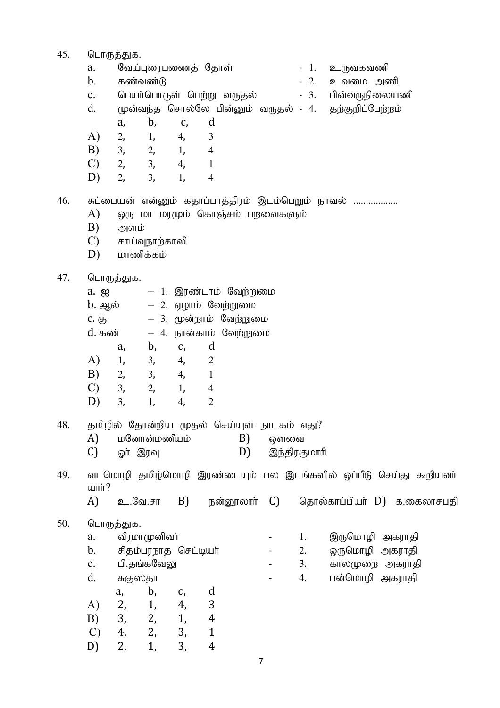- 45. பொருத்துக.
	- வேய்புரைபணைத் தோள்  $a$ .
	- $\mathbf{b}$ . கண்வண்டு
	- $\mathbf{c}$ . பெயா்பொருள் பெற்று வருதல்
	- முன்வந்த சொல்லே பின்னும் வருதல் 4.  $\mathbf{d}$ .
	- $\mathbf{b}$ .  $\mathbf d$  $a_{\iota}$  $C,$
	- $A)$  $2,$  $1.$  $\overline{4}$ ,  $\overline{3}$
	- $B)$  $3<sub>1</sub>$  $\overline{4}$ 2.  $1,$
	- $\mathcal{C}$  $2,$  $3<sub>r</sub>$  $\overline{4}$ ,  $\mathbf{1}$
	- D)  $2,$  $\overline{4}$ 3, 1,
- $-1$ . உருவகவணி
- $-2$ . உவமை அணி
- பின்வருநிலையணி  $-3.$ 
	- தற்குறிப்பேற்றம்

- சுப்பையன் என்னும் கதாப்பாத்திரம் இடம்பெறும் நாவல் .................. 46.
	- $\bf{A}$ ஒரு மா மரமும் கொஞ்சம் பறவைகளும்
	- $B)$ அளம்
	- $\mathcal{C}$ சாய்வுநாற்காலி
	- மாணிக்கம்  $D)$

#### பொருத்துக 47.

| ישµפשייִיישי   |    |                     |                        |
|----------------|----|---------------------|------------------------|
| a. g           |    |                     | — 1. இரண்டாம் வேற்றுமை |
| <b>b</b> . ஆல் |    | — 2. ஏழாம் வேற்றுமை |                        |
| $C.$ $(5)$     |    |                     | – 3. மூன்றாம் வேற்றுமை |
| d. கண்         |    |                     | – 4. நான்காம் வேற்றுமை |
| a,             | b, | d<br>C,             |                        |
| A)<br>1,       | 3, | 2<br>4,             |                        |
| B)<br>2,       | 3, | 4,                  |                        |
| 3,             | 2, | 1,                  |                        |

#### தமிழில் தோன்றிய முதல் செய்யுள் நாடகம் எது? 48.

 $\overline{4}$ .

மனோன்மணீயம்  $A$  $B$ ) ஔவை  $\mathcal{C}$ ஓர் இரவு D) இந்திரகுமாரி

 $\overline{2}$ 

- வடமொழி தமிழ்மொழி இரண்டையும் பல இடங்களில் ஒப்பீடு செய்து கூறியவா் 49.  $unir?$ 
	- $A$ உ.வே.சா  $B$ ) நன்றாலாா்  $\mathcal{C}$ தொல்காப்பியர் D) க.கைலாசபதி

 $\mathbf{r}$ 

#### 50. பொருத்துக.

 $D)$ 

3,

 $1<sub>1</sub>$ 

- வீரமாமுனிவா் a. 1.  $\overline{a}$ சிதம்பரநாத செட்டியா்  $h_{\alpha}$  $\overline{2}$ .  $\overline{a}$ பி.தங்கவேலு  $\mathbf{c}$ .  $\overline{3}$ .  $\overline{a}$
- $d$ . சுகுஸ்தா

|               | a, | b, | C, | d |
|---------------|----|----|----|---|
| A)            | 2, | 1, | 4, | 3 |
| B)            | 3, | 2, | 1, | 4 |
| $\mathcal{C}$ | 4, | 2, | 3, | 1 |
| D)            | 2, | 1, | 3, | 4 |

- இருமொழி அகராதி ஒருமொழி அகராதி காலமுறை அகராதி
- $4.$ பன்மொழி அகராதி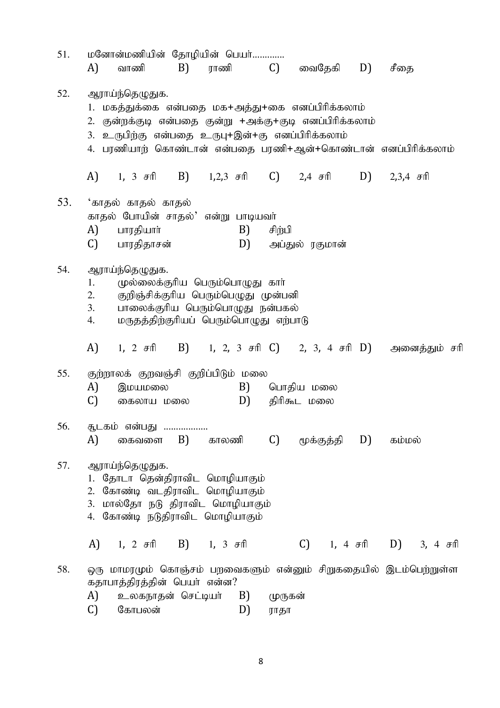| 51. | மனோன்மணியின் தோழியின் பெயர்<br>B) ராணி C) வைதேகி D)<br>A)<br>வாணி                                                                                                                                                                                              |          |                              |               | சீதை                    |  |
|-----|----------------------------------------------------------------------------------------------------------------------------------------------------------------------------------------------------------------------------------------------------------------|----------|------------------------------|---------------|-------------------------|--|
| 52. | ஆராய்ந்தெழுதுக.<br>1. மகத்துக்கை என்பதை மக+அத்து+கை எனப்பிரிக்கலாம்<br>2. குன்றக்குடி என்பதை குன்று +அக்கு+குடி எனப்பிரிக்கலாம்<br>3. உருபிற்கு என்பதை உருபு+இன்+கு எனப்பிரிக்கலாம்<br>4. பரணியாற் கொண்டான் என்பதை பரணி+ஆன்+கொண்டான் எனப்பிரிக்கலாம்           |          |                              |               |                         |  |
|     | A) 1, 3 சரி B) 1,2,3 சரி C) 2,4 சரி D) 2,3,4 சரி                                                                                                                                                                                                               |          |                              |               |                         |  |
| 53. | 'காதல் காதல் காதல்<br>காதல் போயின் சாதல்' என்று பாடியவர்<br>A)<br>பாரதியாா்<br>C) பாரதிதாசன்                                                                                                                                                                   | B)       | சிற்பி<br>D) அப்துல் ரகுமான் |               |                         |  |
| 54. | ஆராய்ந்தெழுதுக.<br>முல்லைக்குரிய பெரும்பொழுது கார்<br>1.<br>குறிஞ்சிக்குரிய பெரும்பெழுது முன்பனி<br>2.<br>3.<br>பாலைக்குரிய பெரும்பொழுது நன்பகல்<br>மருதத்திற்குரியப் பெரும்பொழுது எற்பாடு<br>4.<br>A) 1, 2 சரி B) 1, 2, 3 சரி C) 2, 3, 4 சரி D) அனைத்தும் சரி |          |                              |               |                         |  |
| 55. |                                                                                                                                                                                                                                                                |          |                              |               |                         |  |
|     | குற்றாலக் குறவஞ்சி குறிப்பிடும் மலை<br>A)<br>இமயமலை<br>$\mathcal{C}$<br>கைலாய மலை                                                                                                                                                                              | B)<br>D) | பொதிய மலை<br>திரிகூட மலை     |               |                         |  |
| 56. | சூடகம் என்பது<br>A)<br>கைவளை $B$<br>காலணி                                                                                                                                                                                                                      |          | C)                           | மூக்குத்தி D) | கம்மல்                  |  |
| 57. | ஆராய்ந்தெழுதுக.<br>1. தோடா தென்திராவிட மொழியாகும்<br>கோண்டி வடதிராவிட மொழியாகும்<br>2.<br>3. மால்தோ நடு திராவிட மொழியாகும்<br>4. கோண்டி நடுதிராவிட மொழியாகும்                                                                                                  |          |                              |               |                         |  |
|     | A) 1, 2 சரி B) 1, 3 சரி                                                                                                                                                                                                                                        |          |                              |               | C) 1, 4 சரி D) 3, 4 சரி |  |
| 58. | ஒரு மாமரமும் கொஞ்சம் பறவைகளும் என்னும் சிறுகதையில் இடம்பெற்றுள்ள<br>கதாபாத்திரத்தின் பெயர் என்ன?                                                                                                                                                               |          |                              |               |                         |  |
|     | A)<br>உலகநாதன் செட்டியா்<br>கோபலன்<br>C)                                                                                                                                                                                                                       | B)<br>D) | முருகன்<br>ராதா              |               |                         |  |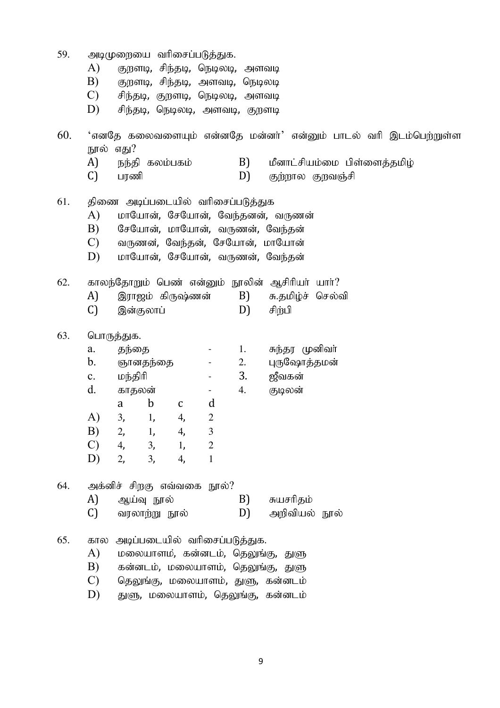| 59. | A)<br>B)<br>$\mathcal{C}$<br>D) | அடிமுறையை வரிசைப்படுத்துக.<br>குறளடி, சிந்தடி, நெடிலடி, அளவடி<br>குறளடி, சிந்தடி, அளவடி, நெடிலடி<br>சிந்தடி, குறளடி, நெடிலடி, அளவடி<br>சிந்தடி, நெடிலடி, அளவடி, குறளடி |                |                            |                |                                   |                                                                 |  |  |  |  |
|-----|---------------------------------|------------------------------------------------------------------------------------------------------------------------------------------------------------------------|----------------|----------------------------|----------------|-----------------------------------|-----------------------------------------------------------------|--|--|--|--|
| 60. |                                 |                                                                                                                                                                        |                |                            |                |                                   | 'எனதே கலைவளையும் என்னதே மன்னர்' என்னும் பாடல் வரி இடம்பெற்றுள்ள |  |  |  |  |
|     | நூல் எது?                       |                                                                                                                                                                        |                |                            |                |                                   |                                                                 |  |  |  |  |
|     | A)                              |                                                                                                                                                                        | நந்தி கலம்பகம் |                            |                | B)                                | மீனாட்சியம்மை பிள்ளைத்தமிழ்                                     |  |  |  |  |
|     | C)                              | பரணி                                                                                                                                                                   |                |                            |                | D)                                | குற்றால குறவஞ்சி                                                |  |  |  |  |
| 61. |                                 |                                                                                                                                                                        |                |                            |                | திணை அடிப்படையில் வரிசைப்படுத்துக |                                                                 |  |  |  |  |
|     | A)                              |                                                                                                                                                                        |                |                            |                |                                   | மாயோன், சேயோன், வேந்தனன், வருணன்                                |  |  |  |  |
|     | B)                              | சேயோன், மாயோன், வருணன், வேந்தன்                                                                                                                                        |                |                            |                |                                   |                                                                 |  |  |  |  |
|     | $\mathcal{C}$                   | வருணன், வேந்தன், சேயோன், மாயோன்                                                                                                                                        |                |                            |                |                                   |                                                                 |  |  |  |  |
|     | D)                              |                                                                                                                                                                        |                |                            |                |                                   | மாயோன், சேயோன், வருணன், வேந்தன்                                 |  |  |  |  |
| 62. |                                 |                                                                                                                                                                        |                |                            |                |                                   | காலந்தோறும் பெண் என்னும் நூலின் ஆசிரியர் யார்?                  |  |  |  |  |
|     | A)                              |                                                                                                                                                                        |                | இராஜம் கிருஷ்ணன்           |                | B)                                | சு.தமிழ்ச் செல்வி                                               |  |  |  |  |
|     | C)                              |                                                                                                                                                                        | இன்குலாப்      |                            |                | D)                                | சிற்பி                                                          |  |  |  |  |
| 63. |                                 | பொருத்துக.                                                                                                                                                             |                |                            |                |                                   |                                                                 |  |  |  |  |
|     | a.                              | தந்தை                                                                                                                                                                  |                |                            |                | 1.                                | சுந்தர முனிவா்                                                  |  |  |  |  |
|     | $\mathbf b$ .                   |                                                                                                                                                                        | ஞானதந்தை       |                            |                | 2.                                | புருஷோத்தமன்                                                    |  |  |  |  |
|     | $\mathbf{c}$ .                  | மந்திரி                                                                                                                                                                |                |                            |                | 3.                                | ஜீவகன்                                                          |  |  |  |  |
|     | $d_{\cdot}$                     | காதலன்                                                                                                                                                                 |                |                            | $\blacksquare$ | 4.                                | குடிலன்                                                         |  |  |  |  |
|     |                                 | a                                                                                                                                                                      | $\mathbf b$    | $\mathbf C$                | d              |                                   |                                                                 |  |  |  |  |
|     | $\bf{A}$                        | 3,                                                                                                                                                                     | 1,             | 4,                         | $\overline{2}$ |                                   |                                                                 |  |  |  |  |
|     | B)                              | 2,                                                                                                                                                                     | 1,             | 4,                         | 3              |                                   |                                                                 |  |  |  |  |
|     | $\mathcal{C}$                   |                                                                                                                                                                        |                | 4, 3, 1,                   | $\overline{2}$ |                                   |                                                                 |  |  |  |  |
|     | D)                              | 2,                                                                                                                                                                     | 3,             | 4,                         | $\mathbf{1}$   |                                   |                                                                 |  |  |  |  |
| 64. |                                 |                                                                                                                                                                        |                | அக்னிச் சிறகு எவ்வகை நூல்? |                |                                   |                                                                 |  |  |  |  |
|     | A)                              |                                                                                                                                                                        | ஆய்வு நூல்     |                            |                | B)                                | சுயசரிதம்                                                       |  |  |  |  |
|     | $\mathcal{C}$                   |                                                                                                                                                                        | வரலாற்று நூல்  |                            |                | D)                                | அறிவியல் நூல்                                                   |  |  |  |  |
| 65. | கால                             |                                                                                                                                                                        |                |                            |                | அடிப்படையில் வரிசைப்படுத்துக.     |                                                                 |  |  |  |  |
|     | A)                              |                                                                                                                                                                        |                |                            |                |                                   | மலையாளம், கன்னடம், தெலுங்கு, துளு                               |  |  |  |  |
|     | B)                              |                                                                                                                                                                        |                |                            |                |                                   | கன்னடம், மலையாளம், தெலுங்கு, துளு                               |  |  |  |  |
|     | $\mathcal{C}$                   |                                                                                                                                                                        |                |                            |                |                                   | தெலுங்கு, மலையாளம், துளு, கன்னடம்                               |  |  |  |  |
|     | D)                              |                                                                                                                                                                        |                |                            |                |                                   | துளு, மலையாளம், தெலுங்கு, கன்னடம்                               |  |  |  |  |
|     |                                 |                                                                                                                                                                        |                |                            |                |                                   |                                                                 |  |  |  |  |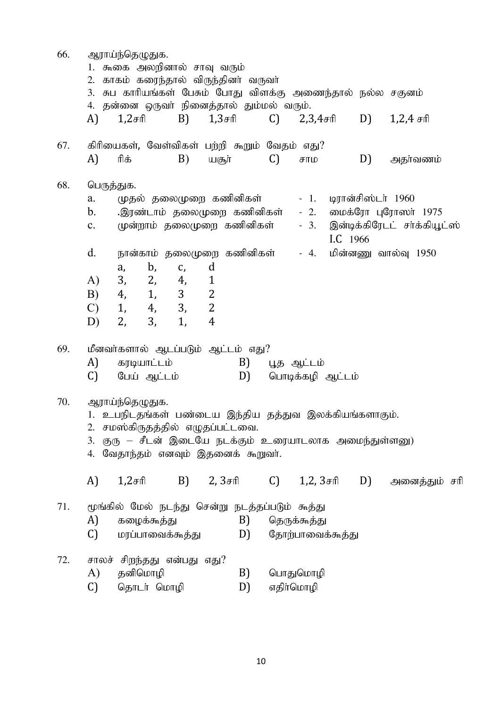| 66. | ஆராய்ந்தெழுதுக.<br>1. கூகை அலறினால் சாவு வரும்                                                                           |                                                                                         |                                  |    |                   |                    |    |                                                     |  |
|-----|--------------------------------------------------------------------------------------------------------------------------|-----------------------------------------------------------------------------------------|----------------------------------|----|-------------------|--------------------|----|-----------------------------------------------------|--|
|     | 2. காகம் கரைந்தால் விருந்தினா் வருவா்<br>3.                                                                              | சுப காரியங்கள் பேசும் போது விளக்கு அணைந்தால் நல்ல சகுனம்                                |                                  |    |                   |                    |    |                                                     |  |
|     | 4. தன்னை ஒருவா் நினைத்தால் தும்மல் வரும்.<br>A)<br>$1,2$ சரி                                                             | B)                                                                                      | $1,3$ சரி                        | C) | $2,3,4$ சரி $D$ ) |                    |    | $1,2,4$ சரி                                         |  |
| 67. | கிரியைகள், வேள்விகள் பற்றி கூறும் வேதம் எது?<br>A)<br>ரிக்                                                               | B)                                                                                      | யசூா்                            | C) | சாம               |                    | D) | அதர்வணம்                                            |  |
| 68. | பெருத்துக.                                                                                                               |                                                                                         |                                  |    |                   |                    |    |                                                     |  |
|     | a.                                                                                                                       | முதல் தலைமுறை கணினிகள்                                                                  |                                  |    | $-1.$             | டிரான்சிஸ்டர் 1960 |    |                                                     |  |
|     | $\mathbf b$ .<br>$\mathbf{c}$ .                                                                                          | இரண்டாம் தலைமுறை கணினிகள்<br>முன்றாம் தலைமுறை கணினிகள்                                  |                                  |    | $-2.$<br>$-3.$    | I.C 1966           |    | மைக்ரோ புரோஸா் 1975<br>இன்டிக்கிரேடட் சர்க்கியூட்ஸ் |  |
|     | d.                                                                                                                       | நான்காம் தலைமுறை கணினிகள்                                                               |                                  |    | $-4.$             |                    |    | மின்னணு வால்வு 1950                                 |  |
|     | a,                                                                                                                       | $\mathbf{b}$ ,<br>C,                                                                    | d                                |    |                   |                    |    |                                                     |  |
|     | A)                                                                                                                       | 3, 2, 4,                                                                                | $\mathbf{1}$                     |    |                   |                    |    |                                                     |  |
|     | 4, 1,<br>B)<br>1,<br>C)                                                                                                  | 3 <sup>1</sup><br>4, 3,                                                                 | $\overline{2}$<br>$\overline{2}$ |    |                   |                    |    |                                                     |  |
|     | 2,<br>D)                                                                                                                 | 3,<br>1,                                                                                | $\overline{4}$                   |    |                   |                    |    |                                                     |  |
| 69. | மீனவர்களால் ஆடப்படும் ஆட்டம் எது?                                                                                        |                                                                                         |                                  |    |                   |                    |    |                                                     |  |
|     | A)<br>கரடியாட்டம்                                                                                                        |                                                                                         | B)                               |    | பூத ஆட்டம்        |                    |    |                                                     |  |
|     | C)<br>பேய் ஆட்டம்                                                                                                        |                                                                                         | D)                               |    | பொடிக்கழி ஆட்டம்  |                    |    |                                                     |  |
| 70. | ஆராய்ந்தெழுதுக.<br>1. உபநிடதங்கள் பண்டைய இந்திய தத்துவ இலக்கியங்களாகும்.<br>2. சமஸ்கிருதத்தில் எழுதப்பட்டவை.<br>3.<br>4. | குரு – சீடன் இடையே நடக்கும் உரையாடலாக அமைந்துள்ளனு)<br>வேதாந்தம் எனவும் இதனைக் கூறுவர். |                                  |    |                   |                    |    |                                                     |  |
|     | A)<br>$1,2$ சரி                                                                                                          | B)                                                                                      | $2, 3 \text{cm}$ C)              |    | $1,2,3$ சரி $D$ ) |                    |    | அனைத்தும் சரி                                       |  |
| 71. | மூங்கில் மேல் நடந்து சென்று நடத்தப்படும் கூத்து                                                                          |                                                                                         |                                  |    |                   |                    |    |                                                     |  |
|     | A)<br>கழைக்கூத்து                                                                                                        |                                                                                         | B)                               |    | தெருக்கூத்து      |                    |    |                                                     |  |
|     | C)                                                                                                                       | மரப்பாவைக்கூத்து                                                                        | D)                               |    | தோற்பாவைக்கூத்து  |                    |    |                                                     |  |
| 72. | சாலச் சிறந்தது என்பது எது?                                                                                               |                                                                                         |                                  |    |                   |                    |    |                                                     |  |
|     | A)<br>தனிமொழி                                                                                                            |                                                                                         | B)                               |    | பொதுமொழி          |                    |    |                                                     |  |
|     | C)                                                                                                                       | தொடர் மொழி                                                                              | D)                               |    | எதிாமொழி          |                    |    |                                                     |  |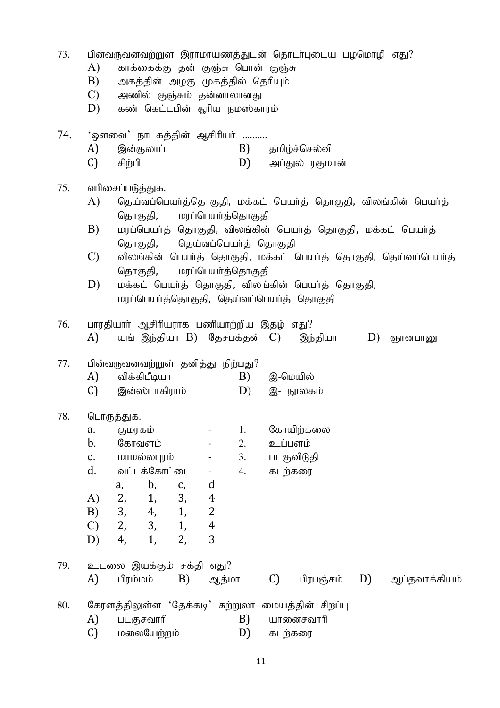| 73. | பின்வருவனவற்றுள் இராமாயணத்துடன் தொடர்புடைய பழமொழி எது?<br>A)<br>காக்கைக்கு தன் குஞ்சு பொன் குஞ்சு<br>B)<br>அகத்தின் அழகு முகத்தில் தெரியும்<br>C)<br>அணில் குஞ்சும் தன்னாலானது<br>D)<br>கண் கெட்டபின் சூரிய நமஸ்காரம்                                                                                                                                                                                                                                  |  |  |  |  |  |  |  |  |
|-----|--------------------------------------------------------------------------------------------------------------------------------------------------------------------------------------------------------------------------------------------------------------------------------------------------------------------------------------------------------------------------------------------------------------------------------------------------------|--|--|--|--|--|--|--|--|
| 74. | 'ஔவை' நாடகத்தின் ஆசிரியா் ……….<br>A)<br>இன்குலாப்<br>B)<br>தமிழ்ச்செல்வி<br>C)<br>சிற்பி<br>D) அப்துல் ரகுமான்                                                                                                                                                                                                                                                                                                                                         |  |  |  |  |  |  |  |  |
| 75. | வரிசைப்படுத்துக.<br>A)<br>தெய்வப்பெயா்த்தொகுதி, மக்கட் பெயா்த் தொகுதி, விலங்கின் பெயா்த்<br>தொகுதி, மரப்பெயர்த்தொகுதி<br>B)<br>மரப்பெயா்த் தொகுதி, விலங்கின் பெயா்த் தொகுதி, மக்கட் பெயா்த்<br>தொகுதி, தெய்வப்பெயர்த் தொகுதி<br>$\mathcal{C}$<br>விலங்கின் பெயர்த் தொகுதி, மக்கட் பெயர்த் தொகுதி, தெய்வப்பெயர்த்<br>தொகுதி,<br>மரப்பெயா்த்தொகுதி<br>D)<br>மக்கட் பெயா்த் தொகுதி, விலங்கின் பெயா்த் தொகுதி,<br>மரப்பெயர்த்தொகுதி, தெய்வப்பெயர்த் தொகுதி |  |  |  |  |  |  |  |  |
| 76. | பாரதியார் ஆசிரியராக பணியாற்றிய இதழ் எது?<br>A)<br>யங் இந்தியா B) தேசபக்தன் C) இந்தியா<br>D)<br>ஞானபானு                                                                                                                                                                                                                                                                                                                                                 |  |  |  |  |  |  |  |  |
| 77. | பின்வருவனவற்றுள் தனித்து நிற்பது?<br>A)<br>விக்கிபீடியா<br>B)<br>இ-மெயில்<br>C)<br>இன்ஸ்டாகிராம்<br>D)<br>இ- நூலகம்                                                                                                                                                                                                                                                                                                                                    |  |  |  |  |  |  |  |  |
| 78. | பொருத்துக.<br>கோயிற்கலை<br>a.<br>குமரகம்<br>1.<br>$\mathbf b$ .<br>கோவளம்<br>உப்பளம்<br>2.<br>மாமல்லபுரம்<br>3.<br>படகுவிடுதி<br>$\mathbf{c}$ .<br>d.<br>வட்டக்கோட்டை<br>கடற்கரை<br>4.<br>$\blacksquare$<br>b,<br>d<br>C,<br>a,<br>2,<br>3,<br>1,<br>A)<br>$\overline{4}$<br>3,<br>B)<br>1,<br>$\overline{2}$<br>4,<br>3,<br>2,<br>1,<br>$\boldsymbol{4}$<br>$\mathcal{C}$<br>3<br>2,<br>1,<br>D)<br>4,                                                |  |  |  |  |  |  |  |  |
| 79. | உடலை இயக்கும் சக்தி<br>எது?<br>A)<br>B)<br>C)<br>D)<br>பிரம்மம்<br>பிரபஞ்சம்<br>ஆப்தவாக்கியம்<br>ஆத்மா                                                                                                                                                                                                                                                                                                                                                 |  |  |  |  |  |  |  |  |
| 80. | கேரளத்திலுள்ள 'தேக்கடி' சுற்றுலா மையத்தின் சிறப்பு<br>A)<br>B)<br>படகுசவாரி<br>யானைசவாரி<br>C)<br>மலையேற்றம்<br>D)<br>கடற்கரை                                                                                                                                                                                                                                                                                                                          |  |  |  |  |  |  |  |  |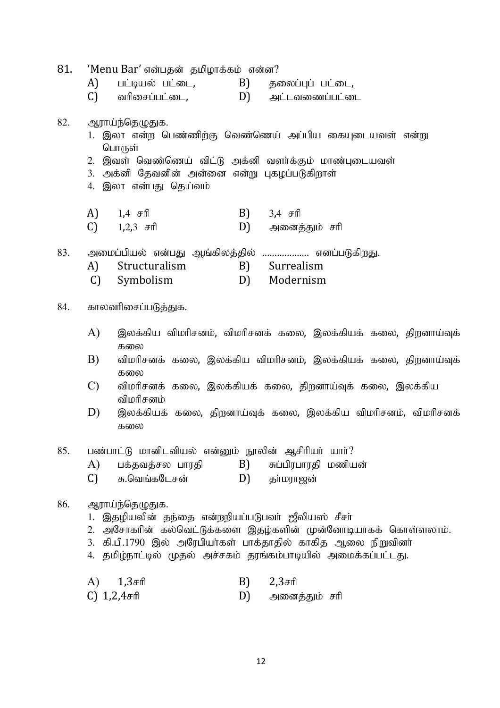| 81. | 'Menu Bar' என்பதன் தமிழாக்கம் என்ன?                                                                   |  |
|-----|-------------------------------------------------------------------------------------------------------|--|
|     | பட்டியல் பட்டை,         B)<br>A)<br>தலைப்புப் பட்டை,                                                  |  |
|     | $(C)$ வரிசைப்பட்டை, $(D)$ அட்டவணைப்பட்டை                                                              |  |
| 82. | ஆராய்ந்தெழுதுக.<br>1. இலா என்ற பெண்ணிற்கு வெண்ணெய் அப்பிய கையுடையவள் என்று<br>பொருள்                  |  |
|     | 2. இவள் வெண்ணெய் விட்டு அக்னி வளர்க்கும் மாண்புடையவள்<br>3. அக்னி தேவனின் அன்னை என்று புகழப்படுகிறாள் |  |
|     | 4. இலா என்பது தெய்வம்                                                                                 |  |
|     | A) $1,4$ $\sigma$ ffl<br>B) $3,4$ $\sigma$ ffl                                                        |  |
|     | $C$ ) 1,2,3 $\sigma$ ffl<br>D) அனைத்தும் சரி                                                          |  |
| 83. | அமைப்பியல் என்பது ஆங்கிலத்தில்  எனப்படுகிறது.                                                         |  |
|     | Structuralism B) Surrealism<br>A)                                                                     |  |

- C) Symbolism D) Modernism
- 84. காலவரிசைப்படுத்துக.
	- $A$ ) இலக்கிய விமரிசனம், விமரிசனக் கலை, இலக்கியக் கலை, திறனாய்வுக் கலை
	- $B$ ) விமரிசனக் கலை, இலக்கிய விமரிசனம், இலக்கியக் கலை, திறனாய்வுக் கலை
	- $C$ ) விமரிசனக் கலை, இலக்கியக் கலை, திறனாய்வுக் கலை, இலக்கிய விமரிசனம்
	- $D$ ) இலக்கியக் கலை, திறனாய்வுக் கலை, இலக்கிய விமரிசனம், விமரிசனக் கலை

## 85. பண்பாட்டு மானிடவியல் என்னும் நூலின் ஆசிரியா் யாா்?

- $\mathbf{A}$ ) பக்கவக்சல பாரகி  $\mathbf{B}$ ) சுப்பிரபாரகி மணியன்
- $C$ ) சு.வெங்கடேசன்  $D$ ) தர்மராஜன்

#### 86. ஆராய்ந்தெழுதுக.

- 1. இதழியலின் தந்தை என்றுியப்படுபவர் ஜீலியஸ் சீசர்
- 2. அசோகரின் கல்வெட்டுக்களை இதழ்களின் முன்னோடியாகக் கொள்ளலாம்.
- 3. கி.பி.1790 இல் அரேபியா்கள் பாக்தாதில் காகித ஆலை நிறுவினா்
- 4. தமிழ்நாட்டில் முதல் அச்சகம் தரங்கம்பாடியில் அமைக்கப்பட்டது.

| $(A)$ 1,3 $\sigma$ fi | B) $2,3 \text{cm}$ |
|-----------------------|--------------------|
| $C) 1,2,4$ சரி        | D) அனைத்தும் சரி   |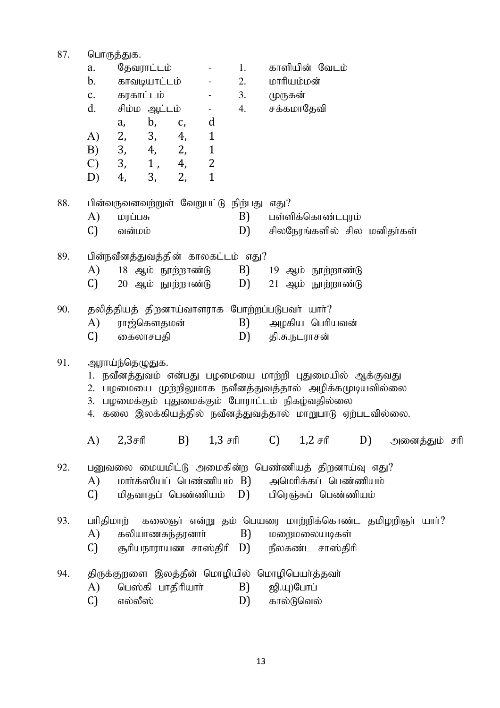87. பொருத்துக. தேவராட்டம் காளியின் வேடம் 1. a.  $\blacksquare$ காவடியாட்டம்  $\overline{2}$ . மாரியம்மன்  $\mathbf{b}$ .  $\blacksquare$ கரகாட்டம்  $\mathbf{c}$ . 3. முருகன்  $\mathsf{d}$ சிம்ம ஆட்டம் சக்கமாகேவி  $\overline{4}$ .  $\mathbb{Z}^2$  $\mathbf{b}$ .  $C,$  $\mathbf d$  $a_{\rm}$ 3,  $\bf{A}$ 2. 4.  $\mathbf{1}$ 2.  $B)$ 3. 4.  $\mathbf{1}$ 1,  $\overline{2}$  $\mathcal{C}$ 3, 4,  $D)$ 4, 3, 2.  $\mathbf{1}$ 88. பின்வருவனவற்றுள் வேறுபட்டு நிற்பது எது?  $B$ ) பள்ளிக்கொண்டபாம்  $\bf{A}$ மாப்பசு  $\mathcal{C}$ வன்மம் D) சிலநேரங்களில் சில மனிதர்கள் 89. பின்நவீனத்துவத்தின் காலகட்டம் எது? A) 18 ஆம் நூற்றாண்டு B) 19 ஆம் நூற்றாண்டு  $\mathcal{C}$ 20 ஆம் நூற்றாண்டு D)  $21$  ஆம் நூற்றாண்டு கலிக்கியக் கிறனாய்வாளாரக போற்றப்படுபவர் யார்?  $90.$ ராஜ்கௌதமன் அழகிய பெரியவன்  $\bf{A}$ B)  $\mathcal{C}$ கைலாசபகி  $D$ ) கி.சு.நடாரசன் 91. ஆராய்ந்தெழுதுக. 1. நவீனத்துவம் என்பது பழமையை மாற்றி புதுமையில் ஆக்குவது 2. பழமையை முற்றிலுமாக நவீனத்துவத்தால் அழிக்கமுடியவில்லை 3. பழமைக்கும் புதுமைக்கும் போராட்டம் நிகழ்வதில்லை 4. கலை இலக்கியத்தில் நவீனத்துவத்தால் மாறுபாடு ஏற்படவில்லை.  $\bf{A}$  $2.3$ சரி  $B$ )  $1.3 \text{ }\mathsf{f}$  $\mathcal{C}$  $1.2 \text{ H}$ D) அனைத்தும் சரி 92. பனுவலை மையமிட்டு அமைகின்ற பெண்ணியத் திறனாய்வு எது? மார்க்ஸியப் பெண்ணியம் B) அமெரிக்கப் பெண்ணியம்  $\bf{A}$  $\mathcal{C}$ மிகவாகப் பெண்ணியம் பிரெஞ்சுப் பெண்ணியம் D) கலைஞர் என்று தம் பெயரை மாற்றிக்கொண்ட தமிழறிஞர் யார்? 93. பரிதிமார் கலியாணசுந்தரனாா் மறைமலையடிகள் A) B)  $\mathcal{C}$ சூரியநாராயண சாஸ்திரி D) நீலகண்ட சாஸ்திரி திருக்குறளை இலத்தீன் மொழியில் மொழிபெயர்த்தவர் 94.  $\bf{A}$ பெஸ்கி பாதிரியாா் B) ஜி.யு)போப்  $\mathcal{C}$ எல்லீஸ் D) கால்டுவெல்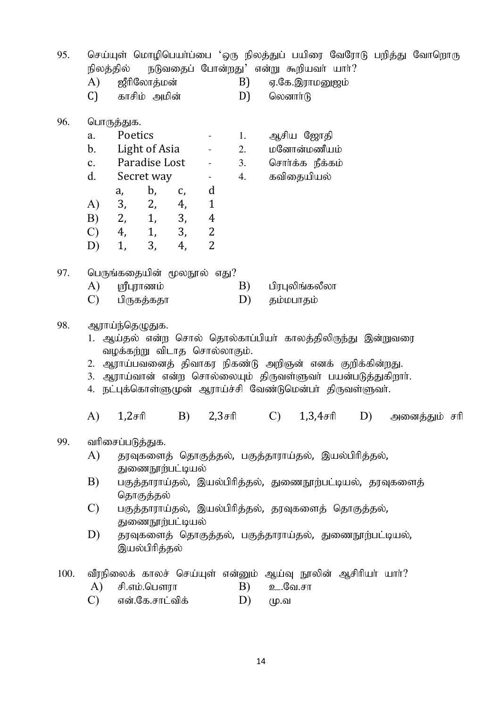| 95.  | A)<br>$\mathcal{C}$                                                                                                                                                                                                                                                                                                                                             | நிலத்தில் நடுவதைப் போன்றது' என்று கூறியவா் யாா்?<br>ஜீரிலோத்மன்<br>காசிம் அமின்                                                                                                                                                                                                                                     |                                                                                                         | B)<br>D)             | லெனார்டு      | ஏ.கே.இராமனுஜம்                                            |    | செய்யுள் மொழிபெயா்ப்பை 'ஒரு நிலத்துப் பயிரை வேரோடு பறித்து வோறொரு |  |
|------|-----------------------------------------------------------------------------------------------------------------------------------------------------------------------------------------------------------------------------------------------------------------------------------------------------------------------------------------------------------------|---------------------------------------------------------------------------------------------------------------------------------------------------------------------------------------------------------------------------------------------------------------------------------------------------------------------|---------------------------------------------------------------------------------------------------------|----------------------|---------------|-----------------------------------------------------------|----|-------------------------------------------------------------------|--|
| 96.  | a.<br>$\mathbf{b}$ .<br>$\mathbf{c}$ .<br>d.<br>A)<br>B)<br>$\mathcal{C}$<br>D)                                                                                                                                                                                                                                                                                 | பொருத்துக.<br>Poetics<br>Light of Asia<br>Paradise Lost<br>Secret way<br>b,<br>a,<br>C,<br>3,<br>2,<br>4,<br>3,<br>2, 1,<br>4, 1,<br>3,<br>3,<br>1,<br>4,                                                                                                                                                           | $\blacksquare$<br>$\sim 100$<br>d<br>$\mathbf{1}$<br>$\overline{4}$<br>$\overline{c}$<br>$\overline{2}$ | 1.<br>2.<br>3.<br>4. |               | ஆசிய ஜோதி<br>மனோன்மணீயம்<br>சொர்க்க நீக்கம்<br>கவிதையியல் |    |                                                                   |  |
| 97.  | A)<br>$\mathcal{C}$                                                                                                                                                                                                                                                                                                                                             | பெருங்கதையின் மூலநூல் எது?<br>ஸ்ரீபுராணம்<br>பிருகத்கதா                                                                                                                                                                                                                                                             |                                                                                                         | B)<br>D)             |               | பிரபுலிங்கலீலா                                            |    |                                                                   |  |
| 98.  |                                                                                                                                                                                                                                                                                                                                                                 | தம்மபாதம்<br>ஆராய்ந்தெழுதுக.<br>1. ஆய்தல் என்ற சொல் தொல்காப்பியா் காலத்திலிருந்து இன்றுவரை<br>வழக்கற்று விடாத சொல்லாகும்.<br>2. ஆராய்பவனைத் திவாகர நிகண்டு அறிஞன் எனக் குறிக்கின்றது.<br>3. ஆராய்வான் என்ற சொல்லையும் திருவள்ளுவர் பயன்படுத்துகிறார்.<br>4. நட்புக்கொள்ளுமுன் ஆராய்ச்சி வேண்டுமென்பா் திருவள்ளுவா். |                                                                                                         |                      |               |                                                           |    |                                                                   |  |
|      | A)                                                                                                                                                                                                                                                                                                                                                              | $1,2$ சரி                                                                                                                                                                                                                                                                                                           | B)<br>$2,3$ சரி                                                                                         |                      | $\mathcal{C}$ | $1,3,4$ சரி                                               | D) | அனைத்தும் சரி                                                     |  |
| 99.  | வரிசைப்படுத்துக.<br>A)<br>தரவுகளைத் தொகுத்தல், பகுத்தாராய்தல், இயல்பிரித்தல்,<br>துணைநூற்பட்டியல்<br>B)<br>பகுத்தாராய்தல், இயல்பிரித்தல், துணைநூற்பட்டியல், தரவுகளைத்<br>தொகுத்தல்<br>$\mathcal{C}$<br>பகுத்தாராய்தல், இயல்பிரித்தல், தரவுகளைத் தொகுத்தல்,<br>துணைநூற்பட்டியல்<br>D)<br>தரவுகளைத் தொகுத்தல், பகுத்தாராய்தல், துணைநூற்பட்டியல்,<br>இயல்பிரித்தல் |                                                                                                                                                                                                                                                                                                                     |                                                                                                         |                      |               |                                                           |    |                                                                   |  |
| 100. | A)                                                                                                                                                                                                                                                                                                                                                              | வீரநிலைக் காலச் செய்யுள் என்னும் ஆய்வு நூலின் ஆசிரியா் யாா்?<br>சி.எம்.பௌரா                                                                                                                                                                                                                                         |                                                                                                         | B)                   | உ.வே.சா       |                                                           |    |                                                                   |  |

 $C)$ என்.கே.சாட்விக்  $\overline{D}$ ) மு.வ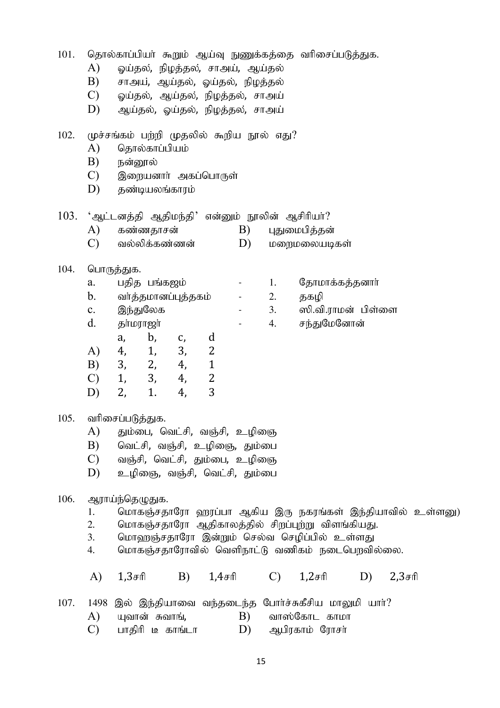101. தொல்காப்பியா் கூறும் ஆய்வு நுணுக்கத்தை வரிசைப்படுத்துக.

- A) ஓய்தல், நிழத்தல், சாஅய், ஆய்தல்
- $B$ ) சாஅய், ஆய்தல், ஓய்தல், நிழத்தல்
- $(C)$  ஓய்தல், ஆய்தல், நிழத்தல், சாஅய்
- $D$ ) ஆய்தல், ஓய்தல், நிழத்தல், சாஅய்
- $102.$  முச்சங்கம் பற்றி முதலில் கூறிய நூல் எது?
	- $A)$  தொல்காப்பியம்
	- $\,$ B) நன்றால்
	- $C$ ) இறையனார் அகப்பொருள்
	- $D$ ) கண்டியலங்காாம்

|  | $103$ . 'ஆட்டனத்தி ஆதிமந்தி' என்னும் நூலின் ஆசிரியா்? |  |  |  |  |
|--|-------------------------------------------------------|--|--|--|--|
|--|-------------------------------------------------------|--|--|--|--|

- A) கண்ணதாசன் B) புதுமைபித்தன்
- $(C)$  வல்லிக்கண்ணன்  $(D)$  மறைமலையடிகள்
- $104.$  பொருத்துக.

| பதித பங்கஜம்        |  | தோம  |
|---------------------|--|------|
| வா்த்தமானப்புத்தகம் |  | தகழி |

- c. இந்துலேக 3. ஸி.வி.ராமன் பிள்ளை
- d. தா்மராஜா் - 4. சந்துமேனோன்
	- a, b, c, d
- A) 4, 1, 3, 2
- B) 3, 2, 4, 1
- C) 1, 3, 4, 2
- D) 2, 1. 4, 3

#### $105.$  வரிசைப்படுத்துக.

- A) தும்பை, வெட்சி, வஞ்சி, உழிஞை
- $B$ ) வெட்சி, வஞ்சி, உழிஞை, தும்பை
- $C$ ) வஞ்சி, வெட்சி, தும்பை, உழிஞை
- $D$ ) உழிஞை, வஞ்சி, வெட்சி, தும்பை

### 106. ஆராய்ந்தெழுதுக.

- 1. மொகஞ்சதாரோ வுரப்பா ஆகிய இரு நகரங்கள் இந்தியாவில் உள்ளனு)
- 2. மொகஞ்சதாரோ ஆதிகாலத்தில் சிறப்புற்று விளங்கியது.
- 3. மொஹஞ்சதாரோ இன்றும் செல்வ செழிப்பில் உள்ளது
- 4. மொகஞ்சகாரோவில் வெளிநாட்டு வணிகம் நடைபொவில்லை.

A) 1,3சரி B) 1,4சரி C) 1,2சரி D) 2,3சரி

- $107.$   $1498$  இல் இந்தியாவை வந்தடைந்த போர்ச்சுகீசிய மாலுமி யார்?
	- $A$ ) யுவான் சுவாங்,  $B$ ) வாஸ்கோட காமா
	- $(C)$  பாதிரி டீ காங்டா  $(D)$  ஆபிரகாம் ரோசர்
- 'காமாக்கக்கனார்
- 
- 
-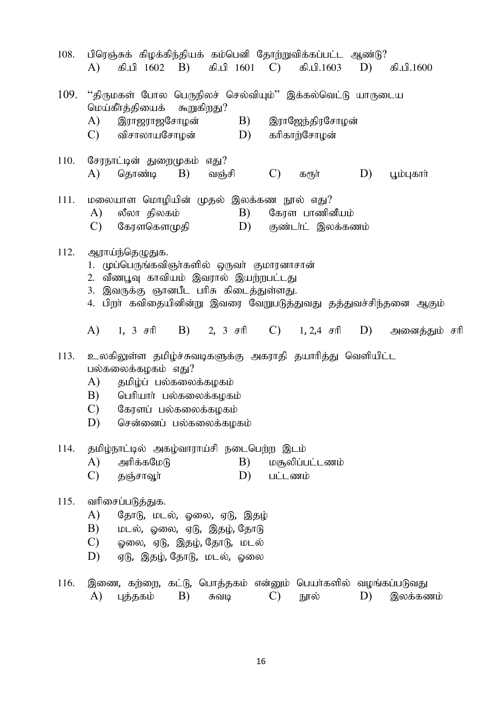| 108. | பிரெஞ்சுக் கிழக்கிந்தியக் கம்பெனி தோற்றுவிக்கப்பட்ட ஆண்டு?<br>கி.பி 1602 B) கி.பி 1601 C) கி.பி.1603<br>D)<br>A)<br>கி.பி.1600                                                                                                                                                        |  |  |  |  |  |
|------|---------------------------------------------------------------------------------------------------------------------------------------------------------------------------------------------------------------------------------------------------------------------------------------|--|--|--|--|--|
| 109. | ''திருமகள் போல பெருநிலச் செல்வியும்'' இக்கல்வெட்டு யாருடைய<br>மெய்கீா்த்தியைக் கூறுகிறது?<br><b>B</b> )<br>இராஜேந்திரசோழன்<br>A)<br>இராஜராஜசோழன்<br>D)<br>கரிகாற்சோழன்<br>C) விசாலாயசோழன்                                                                                             |  |  |  |  |  |
| 110. | சேரநாட்டின் துறைமுகம் எது?<br>$\mathcal{C}$<br>A)<br>தொண்டி<br><b>B</b> )<br>D)<br>வஞ்சி<br>பூம்புகாா்<br>கரூர்                                                                                                                                                                       |  |  |  |  |  |
| 111. | மலையாள மொழியின் முதல் இலக்கண நூல் எது?<br>லீலா திலகம்<br>B)<br>கேரள பாணினீயம்<br>A)<br>$\mathcal{C}$<br>கேரளகௌமுதி<br>D) குண்டர்ட் இலக்கணம்                                                                                                                                           |  |  |  |  |  |
| 112. | ஆராய்ந்தெழுதுக.<br>1. முப்பெருங்கவிஞர்களில் ஒருவர் குமாரனாசான்<br>2. வீணபூவு காவியம் இவரால் இயற்றபட்டது<br>3. இவருக்கு ஞானபீட பரிசு கிடைத்துள்ளது.<br>4. பிறா் கவிதையினின்று இவரை வேறுபடுத்துவது தத்துவச்சிந்தனை ஆகும்                                                                |  |  |  |  |  |
| 113. | B) 2, 3 சரி C) 1, 2,4 சரி D) அனைத்தும் சரி<br>A) 1, 3 சரி<br>உலகிலுள்ள தமிழ்ச்சுவடிகளுக்கு அகராதி தயாரித்து வெளியிட்ட<br>பல்கலைக்கழகம் எது?<br>A)<br>தமிழ்ப் பல்கலைக்கழகம்<br>B)<br>பெரியார் பல்கலைக்கழகம்<br>$\mathcal{C}$ )<br>கேரளப் பல்கலைக்கழகம்<br>D)<br>சென்னைப் பல்கலைக்கழகம் |  |  |  |  |  |
| 114. | தமிழ்நாட்டில் அகழ்வாராய்சி நடைபெற்ற இடம்<br>A)<br>அரிக்கமேடு<br>B)<br>மசூலிப்பட்டணம்<br>$\mathcal{C}$<br>D)<br>தஞ்சாவூர்<br>பட்டணம்                                                                                                                                                   |  |  |  |  |  |
| 115. | வரிசைப்படுத்துக.<br>A)<br>தோடு, மடல், ஓலை, ஏடு, இதழ்<br>B)<br>மடல், ஓலை, ஏடு, இதழ், தோடு<br>C)<br>ஓலை, ஏடு, இதழ், தோடு, மடல்<br>D)<br>ஏடு, இதழ், தோடு, மடல், ஓலை                                                                                                                      |  |  |  |  |  |
| 116. | இணை, கற்றை, கட்டு, பொத்தகம் என்னும் பெயா்களில் வழங்கப்படுவது<br>B)<br>A)<br>புத்தகம்<br>$\mathcal{C}$<br>நூல்<br>D)<br>இலக்கணம்<br>சுவடி                                                                                                                                              |  |  |  |  |  |